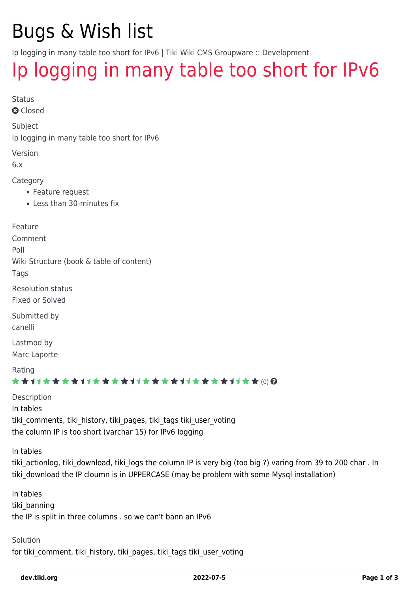# Bugs & Wish list

Ip logging in many table too short for IPv6 | Tiki Wiki CMS Groupware :: Development

## [Ip logging in many table too short for IPv6](https://dev.tiki.org/item3904-Ip-logging-in-many-table-too-short-for-IPv6)

Status

**a** Closed

Subject

Ip logging in many table too short for IPv6

Version

6.x

Category

- Feature request
- Less than 30-minutes fix

Feature

Comment

Poll

Wiki Structure (book & table of content)

Tags

Resolution status Fixed or Solved

Submitted by canelli

Lastmod by Marc Laporte

Rating

#### \*\*\*\*\*\*\*\*\*\*\*\*\*\*\*\*\*\*\*\*\*\*\*\*\*\*\*\*\*\*

Description In tables tiki\_comments, tiki\_history, tiki\_pages, tiki\_tags tiki\_user\_voting the column IP is too short (varchar 15) for IPv6 logging

In tables

tiki actionlog, tiki download, tiki logs the column IP is very big (too big ?) varing from 39 to 200 char . In tiki download the IP cloumn is in UPPERCASE (may be problem with some Mysql installation)

In tables tiki\_banning the IP is split in three columns . so we can't bann an IPv6

### Solution for tiki comment, tiki history, tiki pages, tiki tags tiki user voting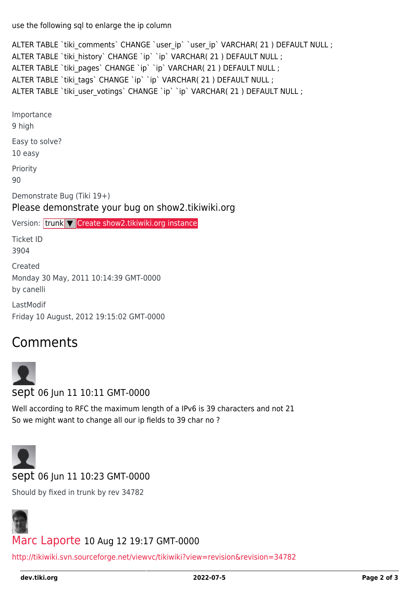use the following sql to enlarge the ip column

ALTER TABLE `tiki comments` CHANGE `user ip` `user ip` VARCHAR( 21 ) DEFAULT NULL ; ALTER TABLE `tiki\_history` CHANGE `ip` `ip` VARCHAR( 21 ) DEFAULT NULL ; ALTER TABLE `tiki pages` CHANGE `ip` `ip` VARCHAR( 21 ) DEFAULT NULL ; ALTER TABLE `tiki tags` CHANGE `ip` `ip` VARCHAR( 21 ) DEFAULT NULL ; ALTER TABLE `tiki user votings` CHANGE `ip` `ip` VARCHAR( 21 ) DEFAULT NULL ; Importance 9 high Easy to solve? 10 easy Priority 90 Demonstrate Bug (Tiki 19+) Please demonstrate your bug on show2.tikiwiki.org Version: trunk ▼ [Create show2.tikiwiki.org instance](#page--1-0) Ticket ID 3904 Created Monday 30 May, 2011 10:14:39 GMT-0000 by canelli LastModif

Friday 10 August, 2012 19:15:02 GMT-0000

## Comments



sept 06 Jun 11 10:11 GMT-0000

Well according to RFC the maximum length of a IPv6 is 39 characters and not 21 So we might want to change all our ip fields to 39 char no ?



## sept 06 Jun 11 10:23 GMT-0000

Should by fixed in trunk by rev 34782



### [Marc Laporte](https://dev.tiki.org/user11197) 10 Aug 12 19:17 GMT-0000

<http://tikiwiki.svn.sourceforge.net/viewvc/tikiwiki?view=revision&revision=34782>